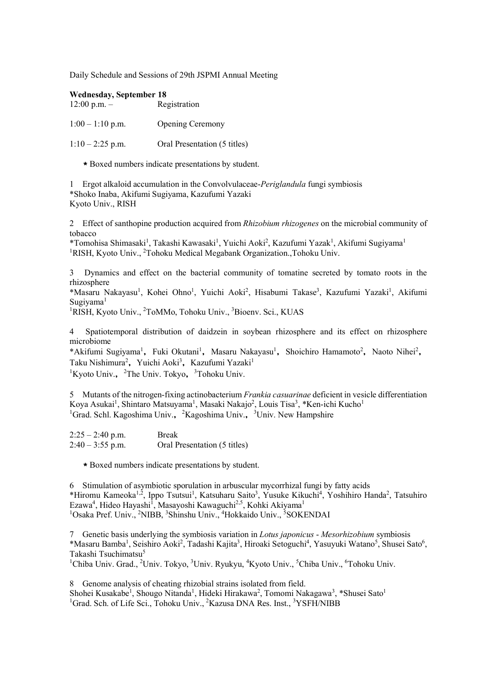Daily Schedule and Sessions of 29th JSPMI Annual Meeting

| <b>Wednesday, September 18</b><br>$12:00$ p.m. $-$ | Registration                 |
|----------------------------------------------------|------------------------------|
| $1:00 - 1:10$ p.m.                                 | <b>Opening Ceremony</b>      |
| $1:10-2:25$ p.m.                                   | Oral Presentation (5 titles) |

\*Boxed numbers indicate presentations by student.

1 Ergot alkaloid accumulation in the Convolvulaceae-*Periglandula* fungi symbiosis \*Shoko Inaba, Akifumi Sugiyama, Kazufumi Yazaki Kyoto Univ., RISH

2 Effect of santhopine production acquired from *Rhizobium rhizogenes* on the microbial community of tobacco

\*Tomohisa Shimasaki<sup>1</sup>, Takashi Kawasaki<sup>1</sup>, Yuichi Aoki<sup>2</sup>, Kazufumi Yazak<sup>1</sup>, Akifumi Sugiyama<sup>1</sup> <sup>1</sup>RISH, Kyoto Univ., <sup>2</sup>Tohoku Medical Megabank Organization., Tohoku Univ.

3 Dynamics and effect on the bacterial community of tomatine secreted by tomato roots in the rhizosphere

\*Masaru Nakayasu<sup>1</sup>, Kohei Ohno<sup>1</sup>, Yuichi Aoki<sup>2</sup>, Hisabumi Takase<sup>3</sup>, Kazufumi Yazaki<sup>1</sup>, Akifumi  $S$ ugiyama<sup>1</sup>

<sup>1</sup>RISH, Kyoto Univ., <sup>2</sup>ToMMo, Tohoku Univ., <sup>3</sup>Bioenv. Sci., KUAS

4 Spatiotemporal distribution of daidzein in soybean rhizosphere and its effect on rhizosphere microbiome

\*Akifumi Sugiyama<sup>1</sup>, Fuki Okutani<sup>1</sup>, Masaru Nakayasu<sup>1</sup>, Shoichiro Hamamoto<sup>2</sup>, Naoto Nihei<sup>2</sup>, Taku Nishimura<sup>2</sup>, Yuichi Aoki<sup>3</sup>, Kazufumi Yazaki<sup>1</sup>  ${}^{1}$ Kyoto Univ., <sup>2</sup>The Univ. Tokyo, <sup>3</sup>Tohoku Univ.

5 Mutants of the nitrogen-fixing actinobacterium *Frankia casuarinae* deficient in vesicle differentiation Koya Asukai<sup>1</sup>, Shintaro Matsuyama<sup>1</sup>, Masaki Nakajo<sup>2</sup>, Louis Tisa<sup>3</sup>, \*Ken-ichi Kucho<sup>1</sup> <sup>1</sup>Grad. Schl. Kagoshima Univ., <sup>2</sup>Kagoshima Univ., <sup>3</sup>Univ. New Hampshire

| $2:25 - 2:40$ p.m. | <b>Break</b>                 |
|--------------------|------------------------------|
| $2:40 - 3:55$ p.m. | Oral Presentation (5 titles) |

\*Boxed numbers indicate presentations by student.

6 Stimulation of asymbiotic sporulation in arbuscular mycorrhizal fungi by fatty acids \*Hiromu Kameoka<sup>1,2</sup>, Ippo Tsutsui<sup>1</sup>, Katsuharu Saito<sup>3</sup>, Yusuke Kikuchi<sup>4</sup>, Yoshihiro Handa<sup>2</sup>, Tatsuhiro Ezawa<sup>4</sup>, Hideo Hayashi<sup>1</sup>, Masayoshi Kawaguchi<sup>2,5</sup>, Kohki Akiyama<sup>1</sup> <sup>1</sup>Osaka Pref. Univ., <sup>2</sup>NIBB, <sup>3</sup>Shinshu Univ., <sup>4</sup>Hokkaido Univ., <sup>5</sup>SOKENDAI

7 Genetic basis underlying the symbiosis variation in *Lotus japonicus* - *Mesorhizobium* symbiosis \*Masaru Bamba<sup>1</sup>, Seishiro Aoki<sup>2</sup>, Tadashi Kajita<sup>3</sup>, Hiroaki Setoguchi<sup>4</sup>, Yasuyuki Watano<sup>5</sup>, Shusei Sato<sup>6</sup>, Takashi Tsuchimatsu<sup>5</sup>

<sup>1</sup>Chiba Univ. Grad., <sup>2</sup>Univ. Tokyo, <sup>3</sup>Univ. Ryukyu, <sup>4</sup>Kyoto Univ., <sup>5</sup>Chiba Univ., <sup>6</sup>Tohoku Univ.

8 Genome analysis of cheating rhizobial strains isolated from field. Shohei Kusakabe<sup>1</sup>, Shougo Nitanda<sup>1</sup>, Hideki Hirakawa<sup>2</sup>, Tomomi Nakagawa<sup>3</sup>, \*Shusei Sato<sup>1</sup> <sup>1</sup>Grad. Sch. of Life Sci., Tohoku Univ., <sup>2</sup>Kazusa DNA Res. Inst., <sup>3</sup>YSFH/NIBB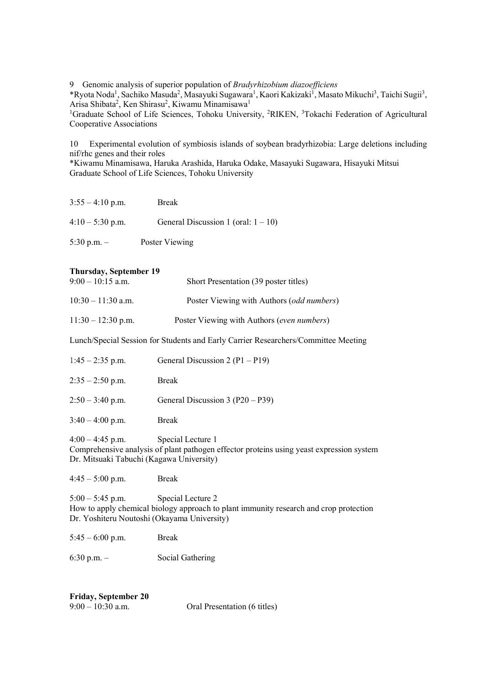9 Genomic analysis of superior population of *Bradyrhizobium diazoefficiens*

\*Ryota Noda<sup>1</sup>, Sachiko Masuda<sup>2</sup>, Masayuki Sugawara<sup>1</sup>, Kaori Kakizaki<sup>1</sup>, Masato Mikuchi<sup>3</sup>, Taichi Sugii<sup>3</sup>, Arisa Shibata<sup>2</sup>, Ken Shirasu<sup>2</sup>, Kiwamu Minamisawa<sup>1</sup>

<sup>1</sup>Graduate School of Life Sciences, Tohoku University, <sup>2</sup>RIKEN, <sup>3</sup>Tokachi Federation of Agricultural Cooperative Associations

10 Experimental evolution of symbiosis islands of soybean bradyrhizobia: Large deletions including nif/rhc genes and their roles

\*Kiwamu Minamisawa, Haruka Arashida, Haruka Odake, Masayuki Sugawara, Hisayuki Mitsui Graduate School of Life Sciences, Tohoku University

 $3:55 - 4:10 \text{ p.m.}$  Break

| $4:10 - 5:30$ p.m. | General Discussion 1 (oral: $1 - 10$ ) |
|--------------------|----------------------------------------|
|                    |                                        |

5:30 p.m. – Poster Viewing

## **Thursday, September 19**

| $9:00 - 10:15$ a.m.  | Short Presentation (39 poster titles)              |
|----------------------|----------------------------------------------------|
| $10:30 - 11:30$ a.m. | Poster Viewing with Authors ( <i>odd numbers</i> ) |
| $11:30 - 12:30$ p.m. | Poster Viewing with Authors (even numbers)         |

Lunch/Special Session for Students and Early Carrier Researchers/Committee Meeting

| $1:45 - 2:35$ p.m.        | General Discussion 2 $(P1 - P19)$  |
|---------------------------|------------------------------------|
| $2:35 - 2:50$ p.m.        | <b>Break</b>                       |
| $2:50 - 3:40$ p.m.        | General Discussion $3 (P20 - P39)$ |
| $3:40 - 4:00$ p.m.        | <b>Break</b>                       |
| $\sqrt{100}$ $\sqrt{100}$ | $\alpha$ $\cdots$                  |

4:00 – 4:45 p.m. Special Lecture 1 Comprehensive analysis of plant pathogen effector proteins using yeast expression system Dr. Mitsuaki Tabuchi (Kagawa University)

4:45 – 5:00 p.m. Break

5:00 – 5:45 p.m. Special Lecture 2 How to apply chemical biology approach to plant immunity research and crop protection Dr. Yoshiteru Noutoshi (Okayama University)

5:45 – 6:00 p.m. Break

6:30 p.m. – Social Gathering

| <b>Friday, September 20</b> |  |
|-----------------------------|--|
| 9:00 – 10:30 a.m.           |  |

Oral Presentation (6 titles)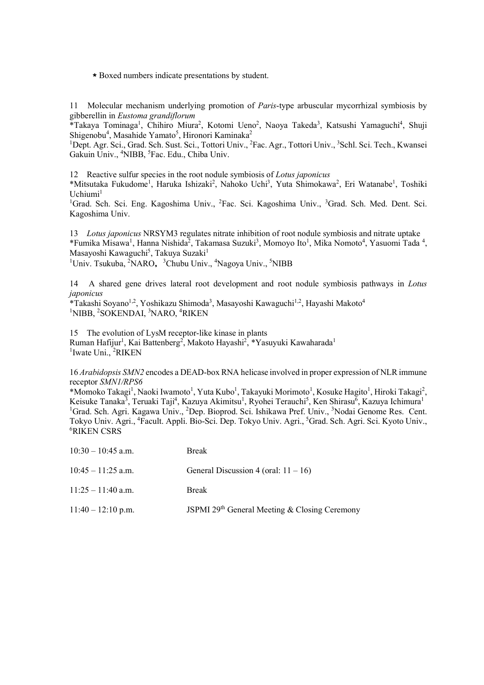\*Boxed numbers indicate presentations by student.

11 Molecular mechanism underlying promotion of *Paris*-type arbuscular mycorrhizal symbiosis by gibberellin in *Eustoma grandiflorum*

\*Takaya Tominaga<sup>1</sup>, Chihiro Miura<sup>2</sup>, Kotomi Ueno<sup>2</sup>, Naoya Takeda<sup>3</sup>, Katsushi Yamaguchi<sup>4</sup>, Shuji Shigenobu<sup>4</sup>, Masahide Yamato<sup>5</sup>, Hironori Kaminaka<sup>2</sup>

<sup>1</sup>Dept. Agr. Sci., Grad. Sch. Sust. Sci., Tottori Univ., <sup>2</sup>Fac. Agr., Tottori Univ., <sup>3</sup>Schl. Sci. Tech., Kwansei Gakuin Univ., <sup>4</sup>NIBB, <sup>5</sup>Fac. Edu., Chiba Univ.

12 Reactive sulfur species in the root nodule symbiosis of *Lotus japonicus*

\*Mitsutaka Fukudome<sup>1</sup>, Haruka Ishizaki<sup>2</sup>, Nahoko Uchi<sup>3</sup>, Yuta Shimokawa<sup>2</sup>, Eri Watanabe<sup>1</sup>, Toshiki  $U$ chiumi $<sup>1</sup>$ </sup>

<sup>1</sup>Grad. Sch. Sci. Eng. Kagoshima Univ., <sup>2</sup>Fac. Sci. Kagoshima Univ., <sup>3</sup>Grad. Sch. Med. Dent. Sci. Kagoshima Univ.

13 *Lotus japonicus* NRSYM3 regulates nitrate inhibition of root nodule symbiosis and nitrate uptake \*Fumika Misawa<sup>1</sup>, Hanna Nishida<sup>2</sup>, Takamasa Suzuki<sup>3</sup>, Momoyo Ito<sup>1</sup>, Mika Nomoto<sup>4</sup>, Yasuomi Tada<sup>4</sup>, Masayoshi Kawaguchi<sup>5</sup>, Takuya Suzaki<sup>1</sup> <sup>1</sup>Univ. Tsukuba, <sup>2</sup>NARO, <sup>3</sup>Chubu Univ., <sup>4</sup>Nagoya Univ., <sup>5</sup>NIBB

14 A shared gene drives lateral root development and root nodule symbiosis pathways in *Lotus japonicus*

\*Takashi Soyano<sup>1,2</sup>, Yoshikazu Shimoda<sup>3</sup>, Masayoshi Kawaguchi<sup>1,2</sup>, Hayashi Makoto<sup>4</sup> <sup>1</sup>NIBB, <sup>2</sup>SOKENDAI, <sup>3</sup>NARO, <sup>4</sup>RIKEN

15 The evolution of LysM receptor-like kinase in plants Ruman Hafijur<sup>1</sup>, Kai Battenberg<sup>2</sup>, Makoto Hayashi<sup>2</sup>, \*Yasuyuki Kawaharada<sup>1</sup> <sup>1</sup>Iwate Uni., <sup>2</sup>RIKEN

16 *Arabidopsis SMN2* encodes a DEAD-box RNA helicase involved in proper expression of NLR immune receptor *SMN1/RPS6*

\*Momoko Takagi<sup>1</sup>, Naoki Iwamoto<sup>1</sup>, Yuta Kubo<sup>1</sup>, Takayuki Morimoto<sup>1</sup>, Kosuke Hagito<sup>1</sup>, Hiroki Takagi<sup>2</sup>, Keisuke Tanaka<sup>3</sup>, Teruaki Taji<sup>4</sup>, Kazuya Akimitsu<sup>1</sup>, Ryohei Terauchi<sup>5</sup>, Ken Shirasu<sup>6</sup>, Kazuya Ichimura<sup>1</sup> <sup>1</sup>Grad. Sch. Agri. Kagawa Univ., <sup>2</sup>Dep. Bioprod. Sci. Ishikawa Pref. Univ., <sup>3</sup>Nodai Genome Res. Cent. Tokyo Univ. Agri., <sup>4</sup>Facult. Appli. Bio-Sci. Dep. Tokyo Univ. Agri., <sup>5</sup>Grad. Sch. Agri. Sci. Kyoto Univ.,<br><sup>6</sup>PIKEN CSPS RIKEN CSRS

| $10:30 - 10:45$ a.m. | <b>Break</b>                                  |
|----------------------|-----------------------------------------------|
| $10:45 - 11:25$ a.m. | General Discussion 4 (oral: $11 - 16$ )       |
| $11:25 - 11:40$ a.m. | <b>Break</b>                                  |
| $11:40 - 12:10$ p.m. | JSPMI 29th General Meeting & Closing Ceremony |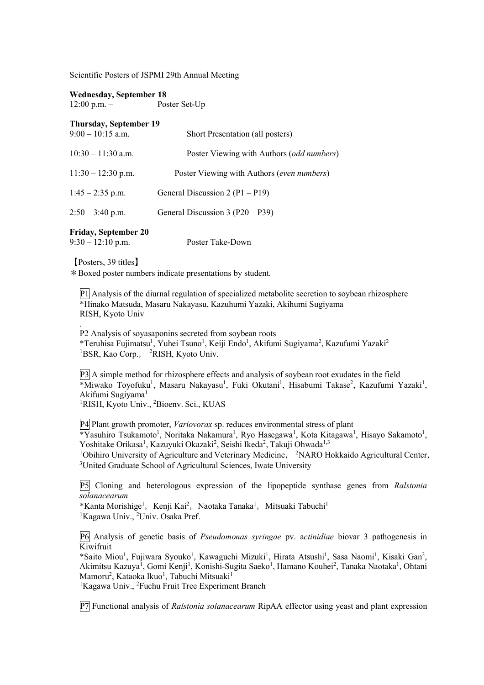Scientific Posters of JSPMI 29th Annual Meeting

**Wednesday, September 18**

12:00 p.m. – Poster Set-Up

**Thursday, September 19**

| $9:00 - 10:15$ a.m.  | Short Presentation (all posters)           |
|----------------------|--------------------------------------------|
| $10:30 - 11:30$ a.m. | Poster Viewing with Authors (odd numbers)  |
| $11:30 - 12:30$ p.m. | Poster Viewing with Authors (even numbers) |
| $1:45 - 2:35$ p.m.   | General Discussion 2 ( $P1 - P19$ )        |
| $2:50 - 3:40$ p.m.   | General Discussion 3 (P20 – P39)           |

## **Friday, September 20**

9:30 – 12:10 p.m. Poster Take-Down

【Posters, 39 titles】

.

\*Boxed poster numbers indicate presentations by student.

P1 Analysis of the diurnal regulation of specialized metabolite secretion to soybean rhizosphere \*Hinako Matsuda, Masaru Nakayasu, Kazuhumi Yazaki, Akihumi Sugiyama RISH, Kyoto Univ

P2 Analysis of soyasaponins secreted from soybean roots \*Teruhisa Fujimatsu<sup>1</sup>, Yuhei Tsuno<sup>1</sup>, Keiji Endo<sup>1</sup>, Akifumi Sugiyama<sup>2</sup>, Kazufumi Yazaki<sup>2</sup> <sup>1</sup>BSR, Kao Corp., <sup>2</sup>RISH, Kyoto Univ.

P3 A simple method for rhizosphere effects and analysis of soybean root exudates in the field \*Miwako Toyofuku<sup>1</sup>, Masaru Nakayasu<sup>1</sup>, Fuki Okutani<sup>1</sup>, Hisabumi Takase<sup>2</sup>, Kazufumi Yazaki<sup>1</sup>, Akifumi Sugiyama<sup>1</sup>

<sup>1</sup>RISH, Kyoto Univ., <sup>2</sup>Bioenv. Sci., KUAS

P4 Plant growth promoter, *Variovorax* sp. reduces environmental stress of plant \*Yasuhiro Tsukamoto<sup>1</sup>, Noritaka Nakamura<sup>1</sup>, Ryo Hasegawa<sup>1</sup>, Kota Kitagawa<sup>1</sup>, Hisayo Sakamoto<sup>1</sup>, Yoshitake Orikasa<sup>1</sup>, Kazuyuki Okazaki<sup>2</sup>, Seishi Ikeda<sup>2</sup>, Takuji Ohwada<sup>1,3</sup> <sup>1</sup>Obihiro University of Agriculture and Veterinary Medicine, <sup>2</sup>NARO Hokkaido Agricultural Center, <sup>3</sup>United Graduate School of Agricultural Sciences, Iwate University

P5 Cloning and heterologous expression of the lipopeptide synthase genes from *Ralstonia solanacearum*

\*Kanta Morishige<sup>1</sup>, Kenji Kai<sup>2</sup>, Naotaka Tanaka<sup>1</sup>, Mitsuaki Tabuchi<sup>1</sup> <sup>1</sup>Kagawa Univ., <sup>2</sup>Univ. Osaka Pref.

P6 Analysis of genetic basis of *Pseudomonas syringae* pv. a*ctinidiae* biovar 3 pathogenesis in  $\overline{\text{K}}$ iwifruit

\*Saito Miou<sup>1</sup>, Fujiwara Syouko<sup>1</sup>, Kawaguchi Mizuki<sup>1</sup>, Hirata Atsushi<sup>1</sup>, Sasa Naomi<sup>1</sup>, Kisaki Gan<sup>2</sup>, Akimitsu Kazuya<sup>1</sup>, Gomi Kenji<sup>1</sup>, Konishi-Sugita Saeko<sup>1</sup>, Hamano Kouhei<sup>2</sup>, Tanaka Naotaka<sup>1</sup>, Ohtani Mamoru<sup>2</sup>, Kataoka Ikuo<sup>1</sup>, Tabuchi Mitsuaki<sup>1</sup>

<sup>1</sup>Kagawa Univ., <sup>2</sup>Fuchu Fruit Tree Experiment Branch

P7 Functional analysis of *Ralstonia solanacearum* RipAA effector using yeast and plant expression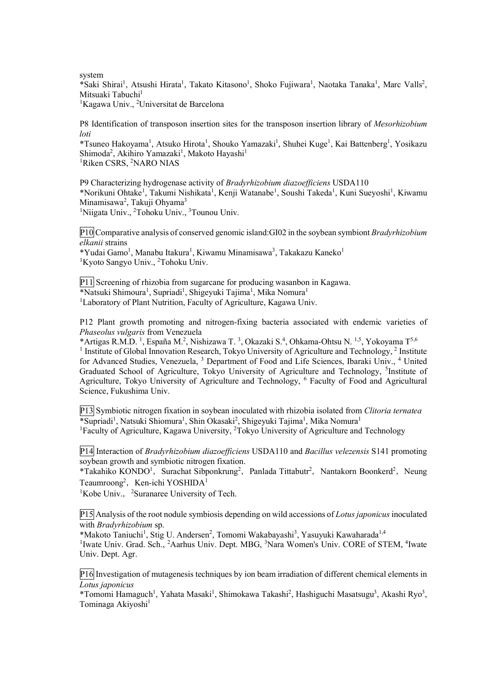system

\*Saki Shirai<sup>1</sup>, Atsushi Hirata<sup>1</sup>, Takato Kitasono<sup>1</sup>, Shoko Fujiwara<sup>1</sup>, Naotaka Tanaka<sup>1</sup>, Marc Valls<sup>2</sup>, Mitsuaki Tabuchi<sup>1</sup>

<sup>1</sup>Kagawa Univ., <sup>2</sup>Universitat de Barcelona

P8 Identification of transposon insertion sites for the transposon insertion library of *Mesorhizobium loti*

\*Tsuneo Hakoyama<sup>1</sup>, Atsuko Hirota<sup>1</sup>, Shouko Yamazaki<sup>1</sup>, Shuhei Kuge<sup>1</sup>, Kai Battenberg<sup>1</sup>, Yosikazu Shimoda<sup>2</sup>, Akihiro Yamazaki<sup>1</sup>, Makoto Hayashi<sup>1</sup> <sup>1</sup>Riken CSRS, <sup>2</sup>NARO NIAS

P9 Characterizing hydrogenase activity of *Bradyrhizobium diazoefficiens* USDA110 \*Norikuni Ohtake<sup>1</sup>, Takumi Nishikata<sup>1</sup>, Kenji Watanabe<sup>1</sup>, Soushi Takeda<sup>1</sup>, Kuni Sueyoshi<sup>1</sup>, Kiwamu Minamisawa<sup>2</sup>, Takuji Ohyama<sup>3</sup> <sup>1</sup>Niigata Univ., <sup>2</sup>Tohoku Univ., <sup>3</sup>Tounou Univ.

P10 Comparative analysis of conserved genomic island:GI02 in the soybean symbiont *Bradyrhizobium elkanii* strains

\*Yudai Gamo<sup>1</sup>, Manabu Itakura<sup>1</sup>, Kiwamu Minamisawa<sup>3</sup>, Takakazu Kaneko<sup>1</sup> <sup>1</sup>Kyoto Sangyo Univ., <sup>2</sup>Tohoku Univ.

P11 Screening of rhizobia from sugarcane for producing wasanbon in Kagawa. \*Natsuki Shimoura<sup>1</sup>, Supriadi<sup>1</sup>, Shigeyuki Tajima<sup>1</sup>, Mika Nomura<sup>1</sup> <sup>1</sup>Laboratory of Plant Nutrition, Faculty of Agriculture, Kagawa Univ.

P12 Plant growth promoting and nitrogen-fixing bacteria associated with endemic varieties of *Phaseolus vulgaris* from Venezuela

\*Artigas R.M.D.<sup>1</sup>, España M.<sup>2</sup>, Nishizawa T.<sup>3</sup>, Okazaki S.<sup>4</sup>, Ohkama-Ohtsu N.<sup>1,5</sup>, Yokoyama T<sup>5,6</sup> <sup>1</sup> Institute of Global Innovation Research, Tokyo University of Agriculture and Technology,  $^2$  Institute for Advanced Studies, Venezuela, <sup>3</sup> Department of Food and Life Sciences, Ibaraki Univ., <sup>4</sup> United Graduated School of Agriculture, Tokyo University of Agriculture and Technology, <sup>5</sup>Institute of Agriculture, Tokyo University of Agriculture and Technology, <sup>6</sup> Faculty of Food and Agricultural Science, Fukushima Univ.

P13 Symbiotic nitrogen fixation in soybean inoculated with rhizobia isolated from *Clitoria ternatea* \*Supriadi<sup>1</sup>, Natsuki Shiomura<sup>1</sup>, Shin Okasaki<sup>2</sup>, Shigeyuki Tajima<sup>1</sup>, Mika Nomura<sup>1</sup> <sup>1</sup>Faculty of Agriculture, Kagawa University, <sup>2</sup>Tokyo University of Agriculture and Technology

P14 Interaction of *Bradyrhizobium diazoefficiens* USDA110 and *Bacillus velezensis* S141 promoting soybean growth and symbiotic nitrogen fixation.

\*Takahiko KONDO<sup>1</sup>, Surachat Sibponkrung<sup>2</sup>, Panlada Tittabutr<sup>2</sup>, Nantakorn Boonkerd<sup>2</sup>, Neung Teaumroong<sup>2</sup>, Ken-ichi YOSHIDA<sup>1</sup>

<sup>1</sup>Kobe Univ., <sup>2</sup>Suranaree University of Tech.

P15 Analysis of the root nodule symbiosis depending on wild accessions of *Lotus japonicus* inoculated with *Bradyrhizobium* sp.

\*Makoto Taniuchi<sup>1</sup>, Stig U. Andersen<sup>2</sup>, Tomomi Wakabayashi<sup>3</sup>, Yasuyuki Kawaharada<sup>1,4</sup>

<sup>1</sup>Iwate Univ. Grad. Sch., <sup>2</sup>Aarhus Univ. Dept. MBG, <sup>3</sup>Nara Women's Univ. CORE of STEM, <sup>4</sup>Iwate Univ. Dept. Agr.

P16 Investigation of mutagenesis techniques by ion beam irradiation of different chemical elements in *Lotus japonicus*

\*Tomomi Hamaguch<sup>1</sup>, Yahata Masaki<sup>1</sup>, Shimokawa Takashi<sup>2</sup>, Hashiguchi Masatsugu<sup>3</sup>, Akashi Ryo<sup>3</sup>, Tominaga Akiyoshi<sup>1</sup>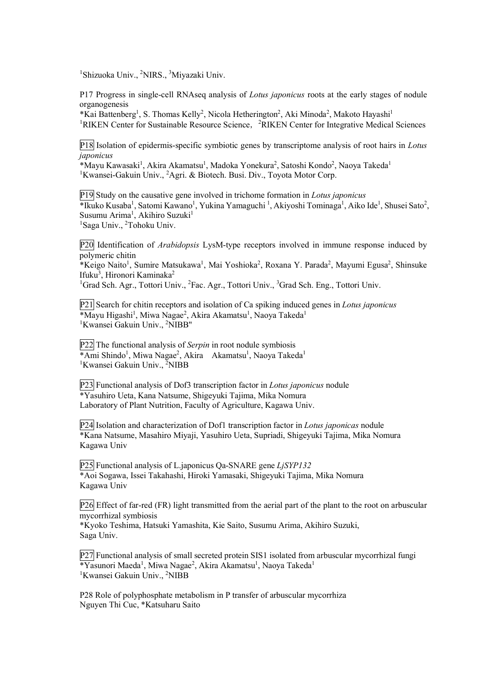<sup>1</sup>Shizuoka Univ., <sup>2</sup>NIRS., <sup>3</sup>Miyazaki Univ.

P17 Progress in single-cell RNAseq analysis of *Lotus japonicus* roots at the early stages of nodule organogenesis

\*Kai Battenberg<sup>1</sup>, S. Thomas Kelly<sup>2</sup>, Nicola Hetherington<sup>2</sup>, Aki Minoda<sup>2</sup>, Makoto Hayashi<sup>1</sup> <sup>1</sup>RIKEN Center for Sustainable Resource Science, <sup>2</sup>RIKEN Center for Integrative Medical Sciences

P18 Isolation of epidermis-specific symbiotic genes by transcriptome analysis of root hairs in *Lotus japonicus*

\*Mayu Kawasaki<sup>1</sup>, Akira Akamatsu<sup>1</sup>, Madoka Yonekura<sup>2</sup>, Satoshi Kondo<sup>2</sup>, Naoya Takeda<sup>1</sup> <sup>1</sup>Kwansei-Gakuin Univ., <sup>2</sup>Agri. & Biotech. Busi. Div., Toyota Motor Corp.

P19 Study on the causative gene involved in trichome formation in *Lotus japonicus* \*Ikuko Kusaba<sup>1</sup>, Satomi Kawano<sup>1</sup>, Yukina Yamaguchi<sup>1</sup>, Akiyoshi Tominaga<sup>1</sup>, Aiko Ide<sup>1</sup>, Shusei Sato<sup>2</sup>, Susumu Arima<sup>1</sup>, Akihiro Suzuki<sup>1</sup> <sup>1</sup>Saga Univ., <sup>2</sup>Tohoku Univ.

P20 Identification of *Arabidopsis* LysM-type receptors involved in immune response induced by polymeric chitin

\*Keigo Naito<sup>1</sup>, Sumire Matsukawa<sup>1</sup>, Mai Yoshioka<sup>2</sup>, Roxana Y. Parada<sup>2</sup>, Mayumi Egusa<sup>2</sup>, Shinsuke Ifuku<sup>3</sup>, Hironori Kaminaka<sup>2</sup>

<sup>1</sup>Grad Sch. Agr., Tottori Univ., <sup>2</sup>Fac. Agr., Tottori Univ., <sup>3</sup>Grad Sch. Eng., Tottori Univ.

P21 Search for chitin receptors and isolation of Ca spiking induced genes in *Lotus japonicus* \*Mayu Higashi<sup>1</sup>, Miwa Nagae<sup>2</sup>, Akira Akamatsu<sup>1</sup>, Naoya Takeda<sup>1</sup> <sup>1</sup>Kwansei Gakuin Univ., <sup>2</sup>NIBB"

P22 The functional analysis of *Serpin* in root nodule symbiosis \*Ami Shindo<sup>1</sup>, Miwa Nagae<sup>2</sup>, Akira Akamatsu<sup>1</sup>, Naoya Takeda<sup>1</sup> <sup>1</sup>Kwansei Gakuin Univ., <sup>2</sup>NIBB

P23 Functional analysis of Dof3 transcription factor in *Lotus japonicus* nodule \*Yasuhiro Ueta, Kana Natsume, Shigeyuki Tajima, Mika Nomura Laboratory of Plant Nutrition, Faculty of Agriculture, Kagawa Univ.

P24 Isolation and characterization of Dof1 transcription factor in *Lotus japonicas* nodule \*Kana Natsume, Masahiro Miyaji, Yasuhiro Ueta, Supriadi, Shigeyuki Tajima, Mika Nomura Kagawa Univ

P25 Functional analysis of L.japonicus Qa-SNARE gene *LjSYP132* \*Aoi Sogawa, Issei Takahashi, Hiroki Yamasaki, Shigeyuki Tajima, Mika Nomura Kagawa Univ

P26 Effect of far-red (FR) light transmitted from the aerial part of the plant to the root on arbuscular mycorrhizal symbiosis

\*Kyoko Teshima, Hatsuki Yamashita, Kie Saito, Susumu Arima, Akihiro Suzuki, Saga Univ.

P27 Functional analysis of small secreted protein SIS1 isolated from arbuscular mycorrhizal fungi \*Yasunori Maeda<sup>1</sup>, Miwa Nagae<sup>2</sup>, Akira Akamatsu<sup>1</sup>, Naoya Takeda<sup>1</sup> <sup>1</sup>Kwansei Gakuin Univ., <sup>2</sup>NIBB

P28 Role of polyphosphate metabolism in P transfer of arbuscular mycorrhiza Nguyen Thi Cuc, \*Katsuharu Saito